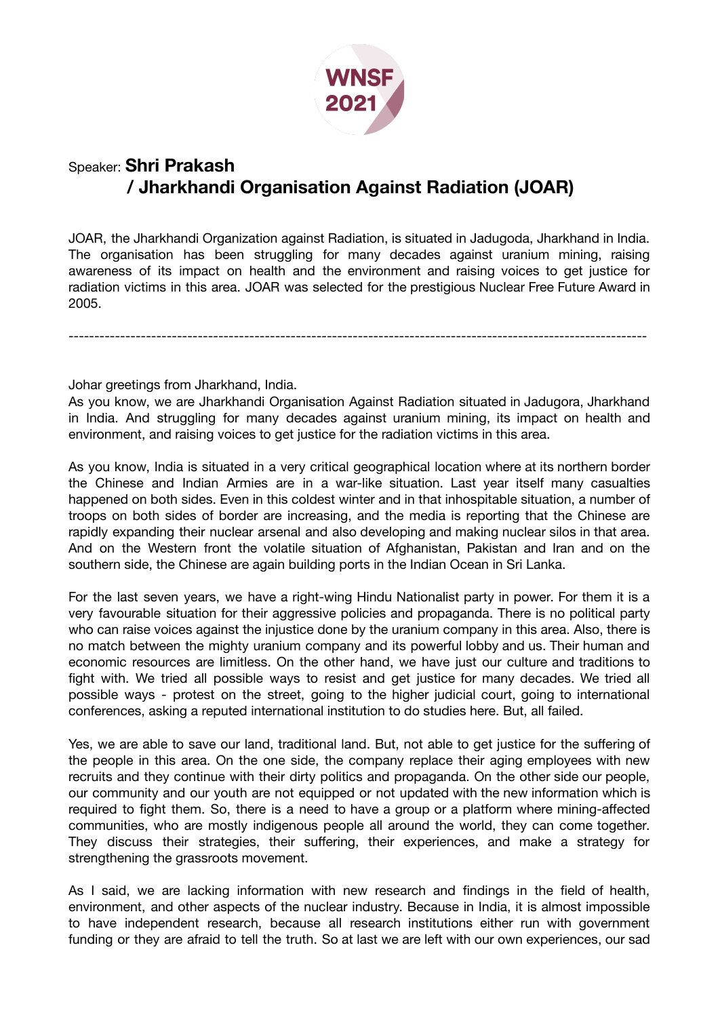

## Speaker: **Shri Prakash / Jharkhandi Organisation Against Radiation (JOAR)**

JOAR, the Jharkhandi Organization against Radiation, is situated in Jadugoda, Jharkhand in India. The organisation has been struggling for many decades against uranium mining, raising awareness of its impact on health and the environment and raising voices to get justice for radiation victims in this area. JOAR was selected for the prestigious Nuclear Free Future Award in 2005.

----------------------------------------------------------------------------------------------------------------

Johar greetings from Jharkhand, India.

As you know, we are Jharkhandi Organisation Against Radiation situated in Jadugora, Jharkhand in India. And struggling for many decades against uranium mining, its impact on health and environment, and raising voices to get justice for the radiation victims in this area.

As you know, India is situated in a very critical geographical location where at its northern border the Chinese and Indian Armies are in a war-like situation. Last year itself many casualties happened on both sides. Even in this coldest winter and in that inhospitable situation, a number of troops on both sides of border are increasing, and the media is reporting that the Chinese are rapidly expanding their nuclear arsenal and also developing and making nuclear silos in that area. And on the Western front the volatile situation of Afghanistan, Pakistan and Iran and on the southern side, the Chinese are again building ports in the Indian Ocean in Sri Lanka.

For the last seven years, we have a right-wing Hindu Nationalist party in power. For them it is a very favourable situation for their aggressive policies and propaganda. There is no political party who can raise voices against the injustice done by the uranium company in this area. Also, there is no match between the mighty uranium company and its powerful lobby and us. Their human and economic resources are limitless. On the other hand, we have just our culture and traditions to fight with. We tried all possible ways to resist and get justice for many decades. We tried all possible ways - protest on the street, going to the higher judicial court, going to international conferences, asking a reputed international institution to do studies here. But, all failed.

Yes, we are able to save our land, traditional land. But, not able to get justice for the suffering of the people in this area. On the one side, the company replace their aging employees with new recruits and they continue with their dirty politics and propaganda. On the other side our people, our community and our youth are not equipped or not updated with the new information which is required to fight them. So, there is a need to have a group or a platform where mining-affected communities, who are mostly indigenous people all around the world, they can come together. They discuss their strategies, their suffering, their experiences, and make a strategy for strengthening the grassroots movement.

As I said, we are lacking information with new research and findings in the field of health, environment, and other aspects of the nuclear industry. Because in India, it is almost impossible to have independent research, because all research institutions either run with government funding or they are afraid to tell the truth. So at last we are left with our own experiences, our sad